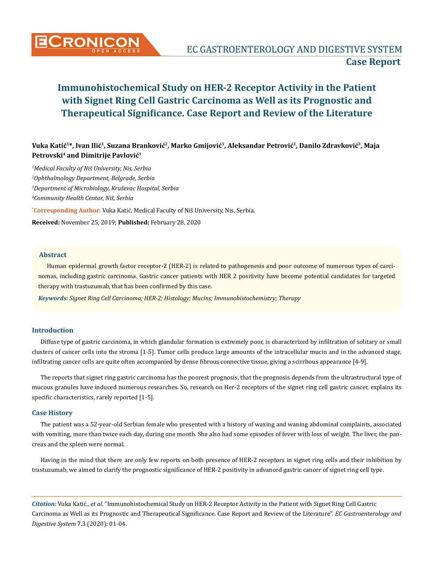

# **Vuka Katić<sup>1</sup>\*, Ivan Ilić<sup>1</sup>, Suzana Branković<sup>2</sup>, Marko Gmijović<sup>1</sup>, Aleksandar Petrović<sup>1</sup>, Danilo Zdravković3, Maja Petrovski4 and Dimitrije Pavlović<sup>1</sup>**

**\* Corresponding Author**: Vuka Katić, Medical Faculty of Niš University, Nis, Serbia. **Received:** November 25, 2019; **Published:** February 28, 2020 *Medical Faculty of Niš University, Nis, Serbia Ophthalmology Department, Belgrade, Serbia Department of Microbiology, Kruševac Hospital, Serbia Community Health Centar, Niš, Serbia*

#### **Abstract**

Human epidermal growth factor receptor-2 (HER-2) is related to pathogenesis and poor outcome of numerous types of carcinomas, including gastric carcinoma. Gastric cancer patients with HER 2 positivity have become potential candidates for targeted therapy with trastuzumab, that has been confirmed by this case.

*Keywords: Signet Ring Cell Carcinoma; HER-2; Histology; Mucins; Immunohistochemistry; Therapy*

#### **Introduction**

Diffuse type of gastric carcinoma, in which glandular formation is extremely poor, is characterized by infiltration of solitary or small clusters of cancer cells into the stroma [1-5]. Tumor cells produce large amounts of the intracellular mucin and in the advanced stage, infiltrating cancer cells are quite often accompanied by dense fibrous connective tissue, giving a scirrhous appearance [4-9].

The reports that signet ring gastric carcinoma has the poorest prognosis, that the prognosis depends from the ultrastructural type of mucous granules have induced numerous researches. So, research on Her-2 receptors of the signet ring cell gastric cancer, explains its specific characteristics, rarely reported [1-5].

#### **Case History**

The patient was a 52-year-old Serbian female who presented with a history of waxing and waning abdominal complaints, associated with vomiting, more than twice each day, during one month. She also had some episodes of fever with loss of weight. The liver, the pancreas and the spleen were normal.

Having in the mind that there are only few reports on both presence of HER-2 receptors in signet ring cells and their inhibition by trastuzumab, we aimed to clarify the prognostic significance of HER-2 positivity in advanced gastric cancer of signet ring cell type.

*Citation:* Vuka Katić*., et al.* "Immunohistochemical Study on HER-2 Receptor Activity in the Patient with Signet Ring Cell Gastric Carcinoma as Well as its Prognostic and Therapeutical Significance. Case Report and Review of the Literature". *EC Gastroenterology and Digestive System* 7.3 (2020): 01-04.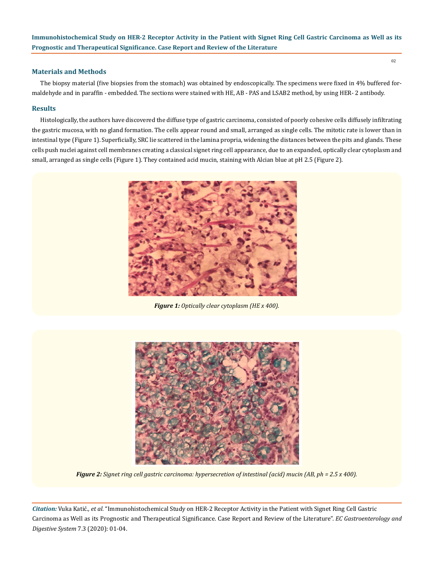#### **Materials and Methods**

The biopsy material (five biopsies from the stomach) was obtained by endoscopically. The specimens were fixed in 4% buffered formaldehyde and in paraffin - embedded. The sections were stained with HE, AB - PAS and LSAB2 method, by using HER- 2 antibody.

### **Results**

Histologically, the authors have discovered the diffuse type of gastric carcinoma, consisted of poorly cohesive cells diffusely infiltrating the gastric mucosa, with no gland formation. The cells appear round and small, arranged as single cells. The mitotic rate is lower than in intestinal type (Figure 1). Superficially, SRC lie scattered in the lamina propria, widening the distances between the pits and glands. These cells push nuclei against cell membranes creating a classical signet ring cell appearance, due to an expanded, optically clear cytoplasm and small, arranged as single cells (Figure 1). They contained acid mucin, staining with Alcian blue at pH 2.5 (Figure 2).



*Figure 1: Optically clear cytoplasm (HE x 400).*



*Figure 2: Signet ring cell gastric carcinoma: hypersecretion of intestinal (acid) mucin (AB, ph = 2.5 x 400).*

*Citation:* Vuka Katić*., et al.* "Immunohistochemical Study on HER-2 Receptor Activity in the Patient with Signet Ring Cell Gastric Carcinoma as Well as its Prognostic and Therapeutical Significance. Case Report and Review of the Literature". *EC Gastroenterology and Digestive System* 7.3 (2020): 01-04.

02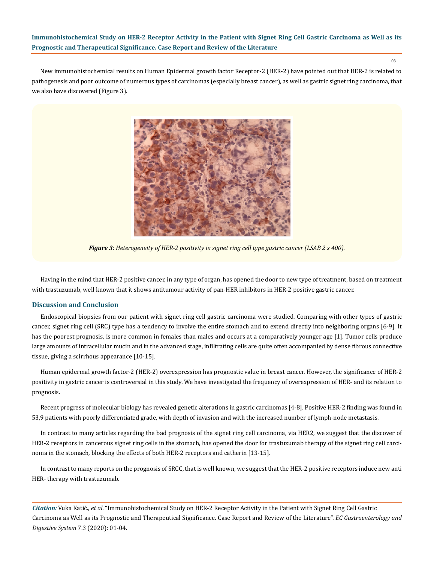03

New immunohistochemical results on Human Epidermal growth factor Receptor-2 (HER-2) have pointed out that HER-2 is related to pathogenesis and poor outcome of numerous types of carcinomas (especially breast cancer), as well as gastric signet ring carcinoma, that we also have discovered (Figure 3).



*Figure 3: Heterogeneity of HER-2 positivity in signet ring cell type gastric cancer (LSAB 2 x 400).*

Having in the mind that HER-2 positive cancer, in any type of organ, has opened the door to new type of treatment, based on treatment with trastuzumab, well known that it shows antitumour activity of pan-HER inhibitors in HER-2 positive gastric cancer.

#### **Discussion and Conclusion**

Endoscopical biopsies from our patient with signet ring cell gastric carcinoma were studied. Comparing with other types of gastric cancer, signet ring cell (SRC) type has a tendency to involve the entire stomach and to extend directly into neighboring organs [6-9]. It has the poorest prognosis, is more common in females than males and occurs at a comparatively younger age [1]. Tumor cells produce large amounts of intracellular mucin and in the advanced stage, infiltrating cells are quite often accompanied by dense fibrous connective tissue, giving a scirrhous appearance [10-15].

Human epidermal growth factor-2 (HER-2) overexpression has prognostic value in breast cancer. However, the significance of HER-2 positivity in gastric cancer is controversial in this study. We have investigated the frequency of overexpression of HER- and its relation to prognosis.

Recent progress of molecular biology has revealed genetic alterations in gastric carcinomas [4-8]. Positive HER-2 finding was found in 53,9 patients with poorly differentiated grade, with depth of invasion and with the increased number of lymph-node metastasis.

In contrast to many articles regarding the bad prognosis of the signet ring cell carcinoma, via HER2, we suggest that the discover of HER-2 receptors in cancerous signet ring cells in the stomach, has opened the door for trastuzumab therapy of the signet ring cell carcinoma in the stomach, blocking the effects of both HER-2 receptors and catherin [13-15].

In contrast to many reports on the prognosis of SRCC, that is well known, we suggest that the HER-2 positive receptors induce new anti HER- therapy with trastuzumab.

*Citation:* Vuka Katić*., et al.* "Immunohistochemical Study on HER-2 Receptor Activity in the Patient with Signet Ring Cell Gastric Carcinoma as Well as its Prognostic and Therapeutical Significance. Case Report and Review of the Literature". *EC Gastroenterology and Digestive System* 7.3 (2020): 01-04.